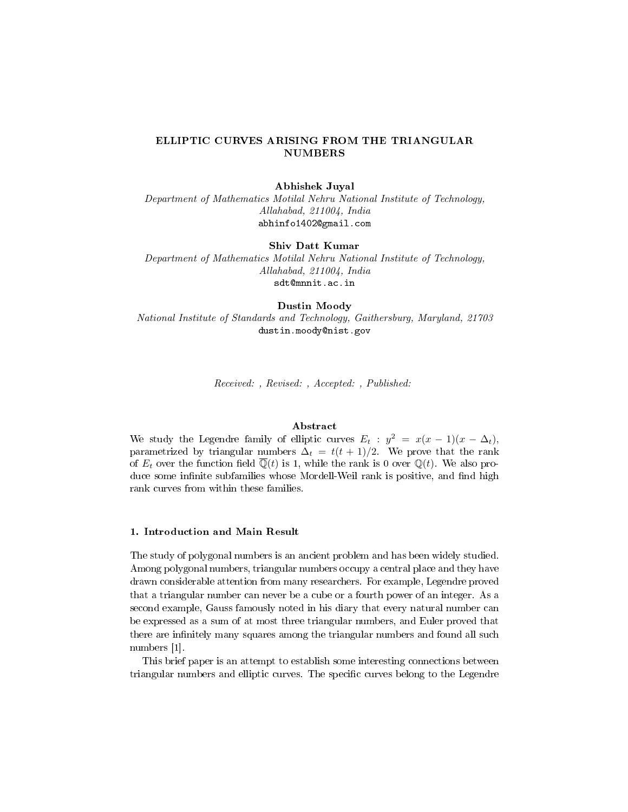# ELLIPTIC CURVES ARISING FROM THE TRIANGULAR NUMBERS

## Abhishek Juyal

Department of Mathematics Motilal Nehru National Institute of Technology, Allahabad, 211004, India abhinfo1402@gmail.com

#### Shiv Datt Kumar

Department of Mathematics Motilal Nehru National Institute of Technology, Allahabad, 211004, India sdt@mnnit.ac.in

## Dustin Moody

National Institute of Standards and Technology, Gaithersburg, Maryland, 21703 dustin.moody@nist.gov

Received: , Revised: , Accepted: , Published:

## Abstract

We study the Legendre family of elliptic curves  $E_t : y^2 = x(x - 1)(x - \Delta_t)$ , parametrized by triangular numbers  $\Delta_t = t(t+1)/2$ . We prove that the rank of  $E_t$  over the function field  $\overline{\mathbb{Q}}(t)$  is 1, while the rank is 0 over  $\mathbb{Q}(t)$ . We also produce some infinite subfamilies whose Mordell-Weil rank is positive, and find high rank curves from within these families.

### 1. Introduction and Main Result

The study of polygonal numbers is an ancient problem and has been widely studied. Among polygonal numbers, triangular numbers occupy a central place and they have drawn considerable attention from many researchers. For example, Legendre proved that a triangular number can never be a cube or a fourth power of an integer. As a second example, Gauss famously noted in his diary that every natural number can be expressed as a sum of at most three triangular numbers, and Euler proved that there are infinitely many squares among the triangular numbers and found all such numbers [1].

This brief paper is an attempt to establish some interesting connections between triangular numbers and elliptic curves. The specific curves belong to the Legendre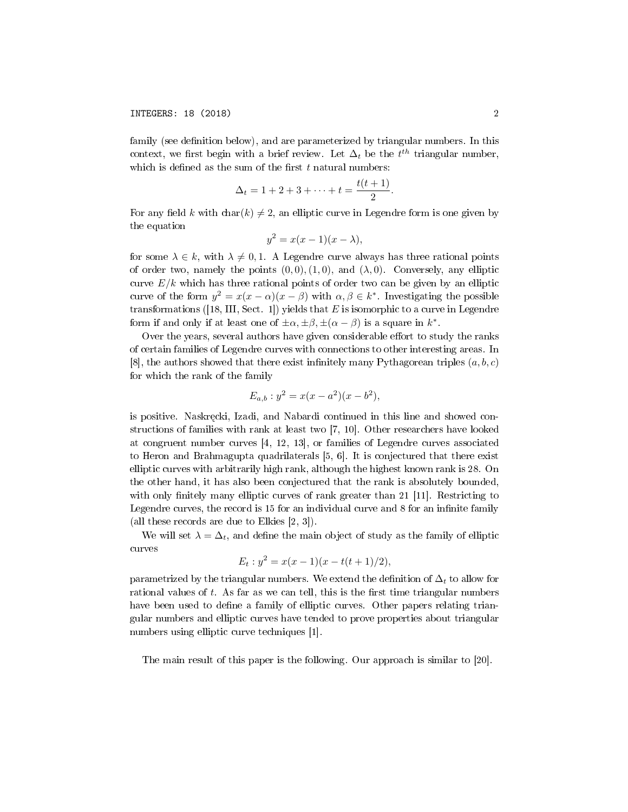family (see definition below), and are parameterized by triangular numbers. In this context, we first begin with a brief review. Let  $\Delta_t$  be the  $t^{th}$  triangular number, which is defined as the sum of the first  $t$  natural numbers:

$$
\Delta_t = 1 + 2 + 3 + \dots + t = \frac{t(t+1)}{2}.
$$

For any field k with char(k)  $\neq 2$ , an elliptic curve in Legendre form is one given by the equation

$$
y^2 = x(x-1)(x - \lambda),
$$

for some  $\lambda \in k$ , with  $\lambda \neq 0, 1$ . A Legendre curve always has three rational points of order two, namely the points  $(0, 0), (1, 0)$ , and  $(\lambda, 0)$ . Conversely, any elliptic curve  $E/k$  which has three rational points of order two can be given by an elliptic curve of the form  $y^2 = x(x - \alpha)(x - \beta)$  with  $\alpha, \beta \in k^*$ . Investigating the possible transformations ([18, III, Sect. 1]) yields that  $E$  is isomorphic to a curve in Legendre form if and only if at least one of  $\pm \alpha$ ,  $\pm \beta$ ,  $\pm (\alpha - \beta)$  is a square in  $k^*$ .

Over the years, several authors have given considerable effort to study the ranks of certain families of Legendre curves with connections to other interesting areas. In [8], the authors showed that there exist infinitely many Pythagorean triples  $(a, b, c)$ for which the rank of the family

$$
E_{a,b}: y^2 = x(x - a^2)(x - b^2),
$$

is positive. Naskrecki, Izadi, and Nabardi continued in this line and showed constructions of families with rank at least two [7, 10]. Other researchers have looked at congruent number curves [4, 12, 13], or families of Legendre curves associated to Heron and Brahmagupta quadrilaterals [5, 6]. It is conjectured that there exist elliptic curves with arbitrarily high rank, although the highest known rank is 28. On the other hand, it has also been conjectured that the rank is absolutely bounded, with only finitely many elliptic curves of rank greater than  $21$  [11]. Restricting to Legendre curves, the record is 15 for an individual curve and 8 for an infinite family (all these records are due to Elkies [2, 3]).

We will set  $\lambda = \Delta_t$ , and define the main object of study as the family of elliptic curves

$$
E_t: y^2 = x(x-1)(x - t(t+1)/2),
$$

parametrized by the triangular numbers. We extend the definition of  $\Delta_t$  to allow for rational values of  $t$ . As far as we can tell, this is the first time triangular numbers have been used to define a family of elliptic curves. Other papers relating triangular numbers and elliptic curves have tended to prove properties about triangular numbers using elliptic curve techniques [1].

The main result of this paper is the following. Our approach is similar to [20].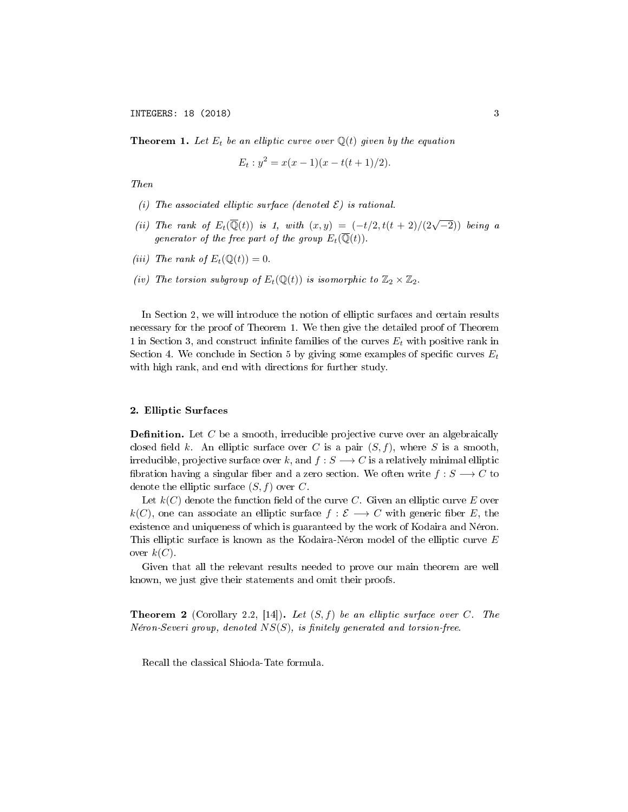**Theorem 1.** Let  $E_t$  be an elliptic curve over  $\mathbb{Q}(t)$  given by the equation

$$
E_t: y^2 = x(x-1)(x - t(t+1)/2).
$$

Then

- (i) The associated elliptic surface (denoted  $\mathcal{E}$ ) is rational.
- (ii) The rank of  $E_t(\overline{Q}(t))$  is 1, with  $(x, y) = (-t/2, t(t+2)/(2\sqrt{-2}))$  being a generator of the free part of the group  $E_t(\overline{\mathbb{Q}}(t))$ .
- (iii) The rank of  $E_t(\mathbb{Q}(t)) = 0$ .
- (iv) The torsion subgroup of  $E_t(\mathbb{Q}(t))$  is isomorphic to  $\mathbb{Z}_2 \times \mathbb{Z}_2$ .

In Section 2, we will introduce the notion of elliptic surfaces and certain results necessary for the proof of Theorem 1. We then give the detailed proof of Theorem 1 in Section 3, and construct infinite families of the curves  $E_t$  with positive rank in Section 4. We conclude in Section 5 by giving some examples of specific curves  $E_t$ with high rank, and end with directions for further study.

## 2. Elliptic Surfaces

**Definition.** Let  $C$  be a smooth, irreducible projective curve over an algebraically closed field k. An elliptic surface over C is a pair  $(S, f)$ , where S is a smooth, irreducible, projective surface over k, and  $f : S \longrightarrow C$  is a relatively minimal elliptic fibration having a singular fiber and a zero section. We often write  $f: S \longrightarrow C$  to denote the elliptic surface  $(S, f)$  over C.

Let  $k(C)$  denote the function field of the curve C. Given an elliptic curve E over k(C), one can associate an elliptic surface  $f : \mathcal{E} \longrightarrow C$  with generic fiber E, the existence and uniqueness of which is guaranteed by the work of Kodaira and Néron. This elliptic surface is known as the Kodaira-Néron model of the elliptic curve E over  $k(C)$ .

Given that all the relevant results needed to prove our main theorem are well known, we just give their statements and omit their proofs.

**Theorem 2** (Corollary 2.2, [14]). Let  $(S, f)$  be an elliptic surface over C. The Néron-Severi group, denoted  $NS(S)$ , is finitely generated and torsion-free.

Recall the classical Shioda-Tate formula.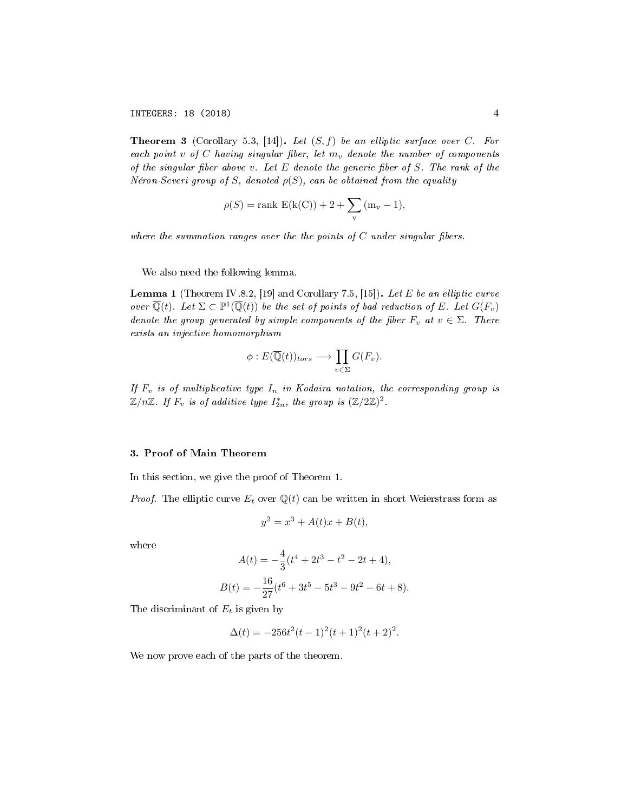**Theorem 3** (Corollary 5.3, [14]). Let  $(S, f)$  be an elliptic surface over C. For each point v of C having singular fiber, let  $m_v$  denote the number of components of the singular fiber above v. Let  $E$  denote the generic fiber of  $S$ . The rank of the Néron-Severi group of S, denoted  $\rho(S)$ , can be obtained from the equality

$$
\rho(S) = \text{rank } E(k(C)) + 2 + \sum_{v} (m_v - 1),
$$

where the summation ranges over the the points of  $C$  under singular fibers.

We also need the following lemma.

**Lemma 1** (Theorem IV.8.2, [19] and Corollary 7.5, [15]). Let E be an elliptic curve over  $\overline{\mathbb{Q}}(t)$ . Let  $\Sigma \subset \mathbb{P}^1(\overline{\mathbb{Q}}(t))$  be the set of points of bad reduction of E. Let  $G(F_v)$ denote the group generated by simple components of the fiber  $F_v$  at  $v \in \Sigma$ . There exists an injective homomorphism

$$
\phi: E(\overline{\mathbb{Q}}(t))_{tors} \longrightarrow \prod_{v \in \Sigma} G(F_v).
$$

If  $F_v$  is of multiplicative type  $I_n$  in Kodaira notation, the corresponding group is  $\mathbb{Z}/n\mathbb{Z}$ . If  $F_v$  is of additive type  $I_{2n}^*$ , the group is  $(\mathbb{Z}/2\mathbb{Z})^2$ .

#### 3. Proof of Main Theorem

In this section, we give the proof of Theorem 1.

*Proof.* The elliptic curve  $E_t$  over  $\mathbb{Q}(t)$  can be written in short Weierstrass form as

$$
y^2 = x^3 + A(t)x + B(t),
$$

where

$$
A(t) = -\frac{4}{3}(t^4 + 2t^3 - t^2 - 2t + 4),
$$
  
\n
$$
B(t) = -\frac{16}{27}(t^6 + 3t^5 - 5t^3 - 9t^2 - 6t + 8).
$$

The discriminant of  $E_t$  is given by

 $\Delta(t) = -256t^2(t-1)^2(t+1)^2(t+2)^2$ .

We now prove each of the parts of the theorem.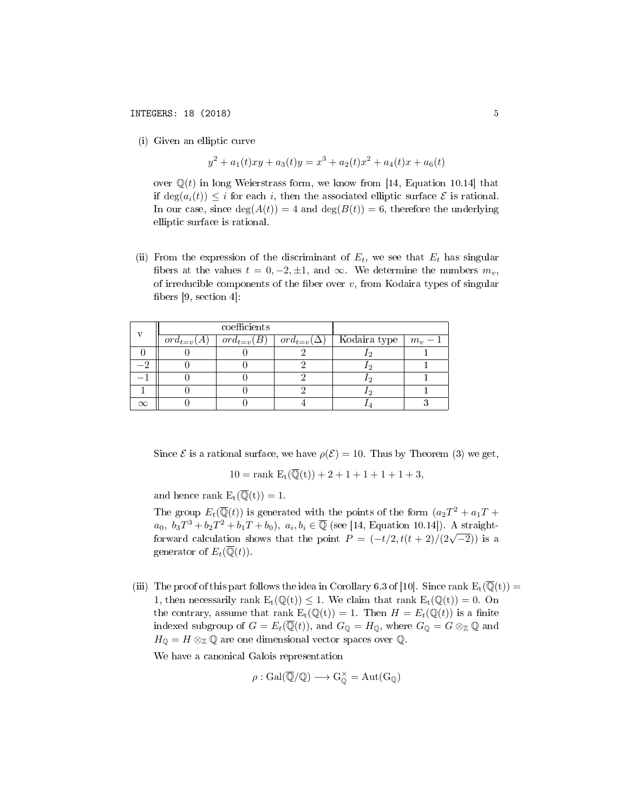(i) Given an elliptic curve

$$
y^{2} + a_{1}(t)xy + a_{3}(t)y = x^{3} + a_{2}(t)x^{2} + a_{4}(t)x + a_{6}(t)
$$

over  $\mathbb{Q}(t)$  in long Weierstrass form, we know from [14, Equation 10.14] that if  $deg(a_i(t)) \leq i$  for each i, then the associated elliptic surface  $\mathcal E$  is rational. In our case, since  $deg(A(t)) = 4$  and  $deg(B(t)) = 6$ , therefore the underlying elliptic surface is rational.

(ii) From the expression of the discriminant of  $E_t$ , we see that  $E_t$  has singular fibers at the values  $t = 0, -2, \pm 1$ , and  $\infty$ . We determine the numbers  $m_v$ , of irreducible components of the fiber over  $v$ , from Kodaira types of singular fibers  $[9, \, \arcsin 4]$ :

| $\mathbf{v}$ | coefficients   |                |                     |              |         |
|--------------|----------------|----------------|---------------------|--------------|---------|
|              | $ord_{t=v}(A)$ | $ord_{t=v}(B)$ | $ord_{t=v}(\Delta)$ | Kodaira type | $m_v-1$ |
|              |                |                |                     |              |         |
|              |                |                |                     |              |         |
|              |                |                |                     |              |         |
|              |                |                |                     |              |         |
|              |                |                |                     |              |         |

Since  $\mathcal E$  is a rational surface, we have  $\rho(\mathcal E)=10$ . Thus by Theorem (3) we get,

$$
10 = \mathrm{rank} \ E_t(\overline{\mathbb{Q}}(t)) + 2 + 1 + 1 + 1 + 1 + 3,
$$

and hence rank  $E_t(\overline{Q}(t)) = 1$ .

The group  $E_t(\overline{Q}(t))$  is generated with the points of the form  $(a_2T^2 + a_1T +$  $a_0, b_3T^3 + b_2T^2 + b_1T + b_0$ ,  $a_i, b_i \in \overline{\mathbb{Q}}$  (see [14, Equation 10.14]). A straightforward calculation shows that the point  $P = (-t/2, t(t+2)/(2\sqrt{-2}))$  is a generator of  $E_t(\overline{\mathbb{Q}}(t))$ .

(iii) The proof of this part follows the idea in Corollary 6.3 of [10]. Since rank  $E_t(\overline{\mathbb{Q}}(t)) =$ 1, then necessarily rank  $E_t(\mathbb{Q}(t)) \leq 1$ . We claim that rank  $E_t(\mathbb{Q}(t)) = 0$ . On the contrary, assume that rank  $E_t(\mathbb{Q}(t)) = 1$ . Then  $H = E_t(\mathbb{Q}(t))$  is a finite indexed subgroup of  $G = E_t(\overline{\mathbb{Q}}(t))$ , and  $G_{\mathbb{Q}} = H_{\mathbb{Q}}$ , where  $G_{\mathbb{Q}} = G \otimes_{\mathbb{Z}} \mathbb{Q}$  and  $H_{\mathbb{Q}} = H \otimes_{\mathbb{Z}} \mathbb{Q}$  are one dimensional vector spaces over  $\mathbb{Q}$ .

We have a canonical Galois representation

$$
\rho: \operatorname{Gal}(\overline{\mathbb{Q}}/\mathbb{Q}) \longrightarrow G^{\times}_{\mathbb{O}} = \operatorname{Aut}(G_{\mathbb{Q}})
$$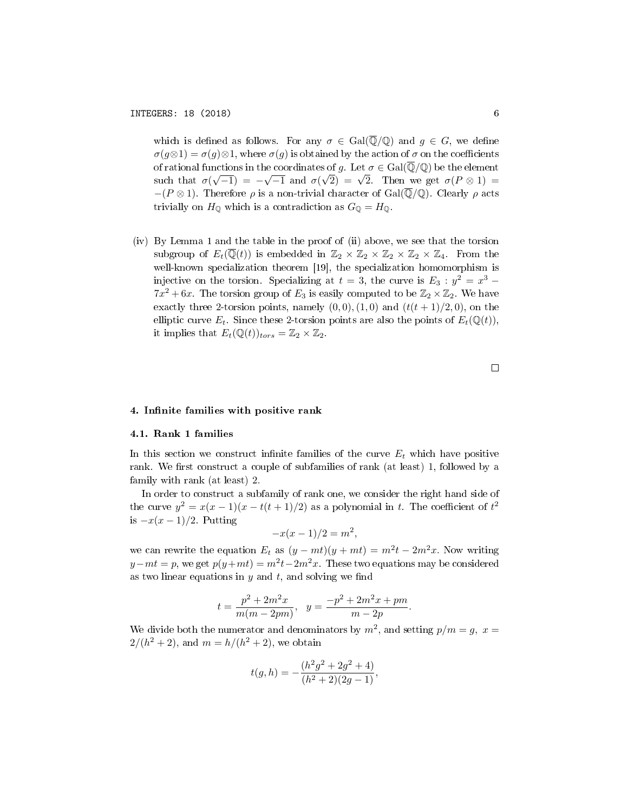which is defined as follows. For any  $\sigma \in \text{Gal}(\overline{\mathbb{Q}}/\mathbb{Q})$  and  $g \in G$ , we define  $\sigma(q\otimes 1) = \sigma(q)\otimes 1$ , where  $\sigma(q)$  is obtained by the action of  $\sigma$  on the coefficients of rational functions in the coordinates of g. Let  $\sigma \in \text{Gal}(\overline{\mathbb{Q}}/\mathbb{Q})$  be the element such that  $\sigma(\sqrt{-1}) = -\sqrt{-1}$  and  $\sigma(\sqrt{2}) = \sqrt{2}$ . Then we get  $\sigma(P \otimes 1) =$  $-(P \otimes 1)$ . Therefore  $\rho$  is a non-trivial character of Gal( $\overline{\mathbb{Q}}/\mathbb{Q}$ ). Clearly  $\rho$  acts trivially on  $H_{\mathbb{Q}}$  which is a contradiction as  $G_{\mathbb{Q}} = H_{\mathbb{Q}}$ .

(iv) By Lemma 1 and the table in the proof of (ii) above, we see that the torsion subgroup of  $E_t(\overline{\mathbb{Q}}(t))$  is embedded in  $\mathbb{Z}_2 \times \mathbb{Z}_2 \times \mathbb{Z}_2 \times \mathbb{Z}_2 \times \mathbb{Z}_4$ . From the well-known specialization theorem [19], the specialization homomorphism is injective on the torsion. Specializing at  $t = 3$ , the curve is  $E_3 : y^2 = x^3$  –  $7x^2 + 6x$ . The torsion group of  $E_3$  is easily computed to be  $\mathbb{Z}_2 \times \mathbb{Z}_2$ . We have exactly three 2-torsion points, namely  $(0,0), (1,0)$  and  $(t(t+1)/2, 0)$ , on the elliptic curve  $E_t$ . Since these 2-torsion points are also the points of  $E_t(\mathbb{Q}(t)),$ it implies that  $E_t(\mathbb{Q}(t))_{tors} = \mathbb{Z}_2 \times \mathbb{Z}_2$ .

#### 4. Infinite families with positive rank

#### 4.1. Rank 1 families

In this section we construct infinite families of the curve  $E_t$  which have positive rank. We first construct a couple of subfamilies of rank (at least) 1, followed by a family with rank (at least) 2.

In order to construct a subfamily of rank one, we consider the right hand side of the curve  $y^2 = x(x-1)(x-t(t+1)/2)$  as a polynomial in t. The coefficient of  $t^2$ is  $-x(x-1)/2$ . Putting

$$
-x(x-1)/2 = m^2,
$$

we can rewrite the equation  $E_t$  as  $(y - mt)(y + mt) = m^2t - 2m^2x$ . Now writing  $y-mt = p$ , we get  $p(y+mt) = m^2t-2m^2x$ . These two equations may be considered as two linear equations in  $y$  and  $t$ , and solving we find

$$
t=\frac{p^2+2m^2x}{m(m-2pm)}, \ \ y=\frac{-p^2+2m^2x+pm}{m-2p}.
$$

We divide both the numerator and denominators by  $m^2$ , and setting  $p/m = g$ ,  $x =$  $2/(h^2 + 2)$ , and  $m = h/(h^2 + 2)$ , we obtain

$$
t(g, h) = -\frac{(h^2g^2 + 2g^2 + 4)}{(h^2 + 2)(2g - 1)},
$$

 $\Box$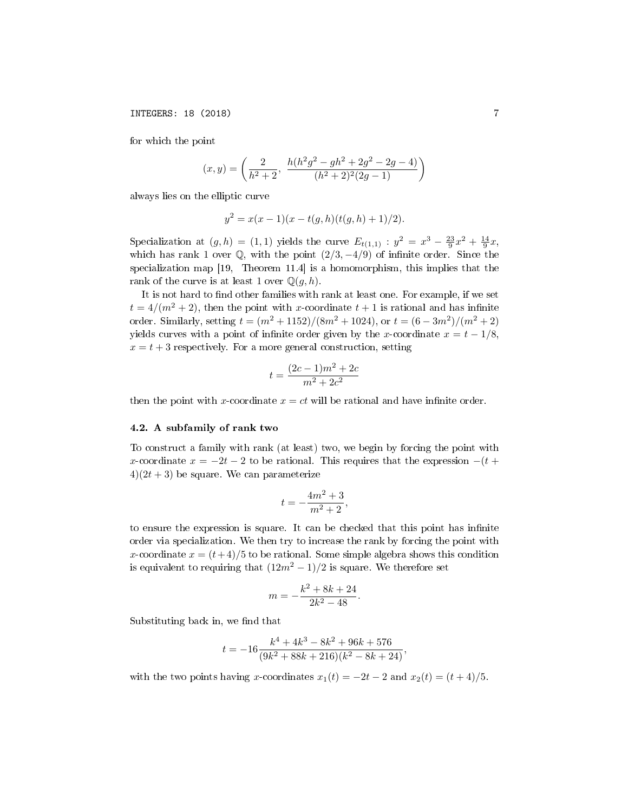for which the point

$$
(x,y) = \left(\frac{2}{h^2+2}, \frac{h(h^2g^2 - gh^2 + 2g^2 - 2g - 4)}{(h^2+2)^2(2g-1)}\right)
$$

always lies on the elliptic curve

$$
y^2 = x(x-1)(x - t(g,h)(t(g,h) + 1)/2).
$$

Specialization at  $(g, h) = (1, 1)$  yields the curve  $E_{t(1,1)}$ :  $y^2 = x^3 - \frac{23}{9}x^2 + \frac{14}{9}x$ , which has rank 1 over  $\mathbb{Q}$ , with the point  $(2/3, -4/9)$  of infinite order. Since the specialization map [19, Theorem 11.4] is a homomorphism, this implies that the rank of the curve is at least 1 over  $\mathbb{Q}(q, h)$ .

It is not hard to find other families with rank at least one. For example, if we set  $t = 4/(m^2 + 2)$ , then the point with x-coordinate  $t + 1$  is rational and has infinite order. Similarly, setting  $t = (m^2 + 1152)/(8m^2 + 1024)$ , or  $t = (6 - 3m^2)/(m^2 + 2)$ yields curves with a point of infinite order given by the x-coordinate  $x = t - 1/8$ ,  $x = t + 3$  respectively. For a more general construction, setting

$$
t = \frac{(2c-1)m^2 + 2c}{m^2 + 2c^2}
$$

then the point with x-coordinate  $x = ct$  will be rational and have infinite order.

#### 4.2. A subfamily of rank two

To construct a family with rank (at least) two, we begin by forcing the point with x-coordinate  $x = -2t - 2$  to be rational. This requires that the expression  $-(t +$  $4(2t+3)$  be square. We can parameterize

$$
t=-\frac{4m^2+3}{m^2+2},
$$

to ensure the expression is square. It can be checked that this point has infinite order via specialization. We then try to increase the rank by forcing the point with x-coordinate  $x = (t+4)/5$  to be rational. Some simple algebra shows this condition is equivalent to requiring that  $(12m^2 - 1)/2$  is square. We therefore set

$$
m = -\frac{k^2 + 8k + 24}{2k^2 - 48}.
$$

Substituting back in, we find that

$$
t = -16 \frac{k^4 + 4k^3 - 8k^2 + 96k + 576}{(9k^2 + 88k + 216)(k^2 - 8k + 24)},
$$

with the two points having x-coordinates  $x_1(t) = -2t - 2$  and  $x_2(t) = (t + 4)/5$ .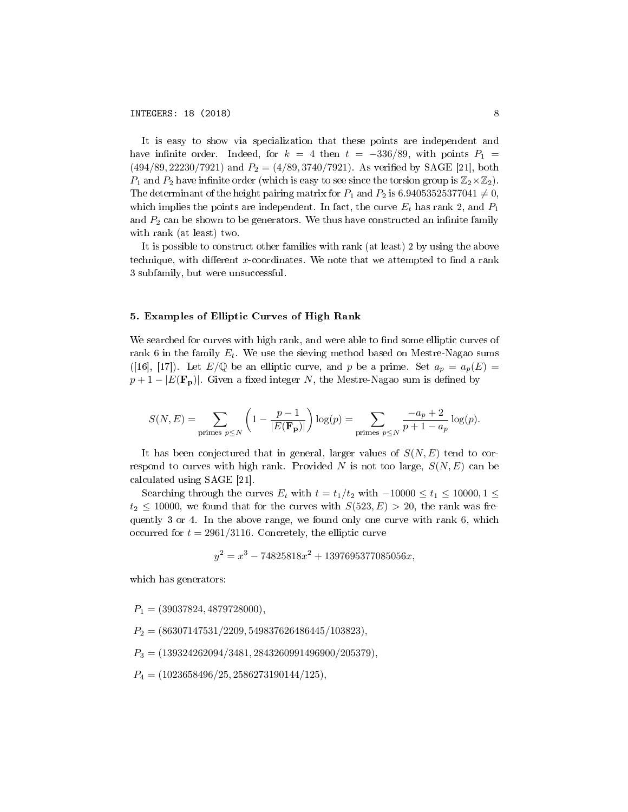6 It is easy to show via specialization that these points are independent and have infinite order. Indeed, for  $k = 4$  then  $t = -336/89$ , with points  $P_1$  $(494/89, 22230/7921)$  and  $P_2 = (4/89, 3740/7921)$ . As verified by SAGE [21], both  $P_1$  and  $P_2$  have infinite order (which is easy to see since the torsion group is  $\mathbb{Z}_2\times\mathbb{Z}_2$ ). The determinant of the height pairing matrix for  $P_1$  and  $P_2$  is 6.94053525377041  $\neq$  0, which implies the points are independent. In fact, the curve  $E_t$  has rank 2, and  $P_1$ and  $P_2$  can be shown to be generators. We thus have constructed an infinite family with rank (at least) two.

It is possible to construct other families with rank (at least) 2 by using the above technique, with different  $x$ -coordinates. We note that we attempted to find a rank 3 subfamily, but were unsuccessful.

## 5. Examples of Elliptic Curves of High Rank

We searched for curves with high rank, and were able to find some elliptic curves of rank 6 in the family  $E_t$ . We use the sieving method based on Mestre-Nagao sums ([16], [17]). Let  $E/\mathbb{Q}$  be an elliptic curve, and p be a prime. Set  $a_p = a_p(E)$  $p+1-|E(\mathbf{F}_p)|$ . Given a fixed integer N, the Mestre-Nagao sum is defined by

$$
S(N, E) = \sum_{\text{primes } p \le N} \left( 1 - \frac{p-1}{|E(\mathbf{F_p})|} \right) \log(p) = \sum_{\text{primes } p \le N} \frac{-a_p + 2}{p + 1 - a_p} \log(p).
$$

It has been conjectured that in general, larger values of  $S(N, E)$  tend to correspond to curves with high rank. Provided N is not too large,  $S(N, E)$  can be calculated using SAGE [21].

Searching through the curves  $E_t$  with  $t = t_1/t_2$  with  $-10000 \le t_1 \le 10000, 1 \le$  $t_2 \le 10000$ , we found that for the curves with  $S(523, E) > 20$ , the rank was frequently 3 or 4. In the above range, we found only one curve with rank 6, which occurred for  $t = 2961/3116$ . Concretely, the elliptic curve

$$
y^2 = x^3 - 74825818x^2 + 1397695377085056x,
$$

which has generators:

 $P_1 = (39037824, 4879728000),$ 

 $P_2 = (86307147531/2209, 549837626486445/103823),$ 

 $P_3 = (139324262094/3481, 2843260991496900/205379),$ 

 $P_4 = (1023658496/25, 2586273190144/125),$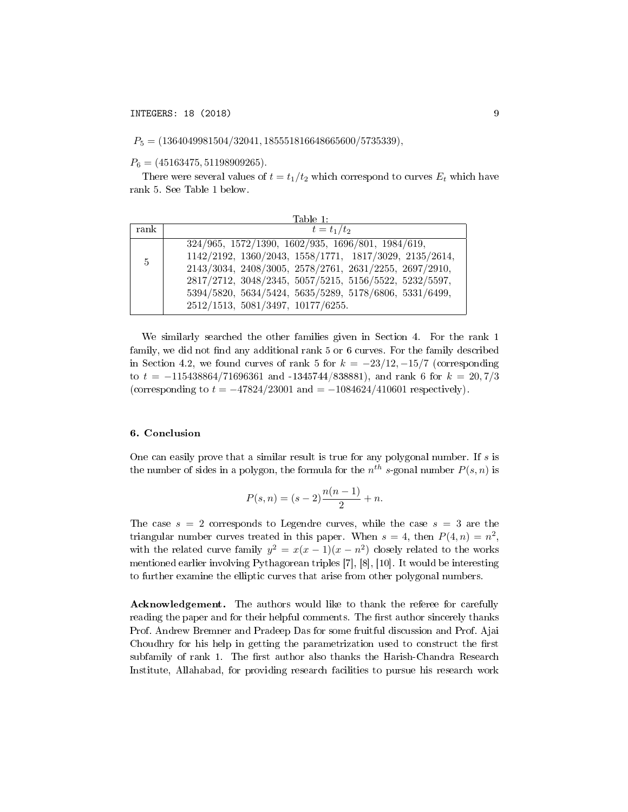$P_5 = (1364049981504/32041, 185551816648665600/5735339),$ 

 $P_6 = (45163475, 51198909265).$ 

There were several values of  $t = t_1/t_2$  which correspond to curves  $E_t$  which have rank 5. See Table 1 below.

|      | Table 1:                                                                                                                                                                                                                                                                                                                       |  |  |  |  |
|------|--------------------------------------------------------------------------------------------------------------------------------------------------------------------------------------------------------------------------------------------------------------------------------------------------------------------------------|--|--|--|--|
| rank | $t = t_1/t_2$                                                                                                                                                                                                                                                                                                                  |  |  |  |  |
| 5    | 324/965, 1572/1390, 1602/935, 1696/801, 1984/619,<br>1142/2192, 1360/2043, 1558/1771, 1817/3029, 2135/2614,<br>2143/3034, 2408/3005, 2578/2761, 2631/2255, 2697/2910,<br>2817/2712, 3048/2345, 5057/5215, 5156/5522, 5232/5597,<br>5394/5820, 5634/5424, 5635/5289, 5178/6806, 5331/6499,<br>2512/1513, 5081/3497, 10177/6255. |  |  |  |  |

We similarly searched the other families given in Section 4. For the rank 1 family, we did not find any additional rank 5 or 6 curves. For the family described in Section 4.2, we found curves of rank 5 for  $k = -23/12, -15/7$  (corresponding to  $t = -115438864/71696361$  and  $-1345744/838881$ , and rank 6 for  $k = 20,7/3$ (corresponding to  $t = -47824/23001$  and  $= -1084624/410601$  respectively).

## 6. Conclusion

One can easily prove that a similar result is true for any polygonal number. If  $s$  is the number of sides in a polygon, the formula for the  $n^{th}$  s-gonal number  $P(s, n)$  is

$$
P(s, n) = (s - 2)\frac{n(n - 1)}{2} + n.
$$

The case  $s = 2$  corresponds to Legendre curves, while the case  $s = 3$  are the triangular number curves treated in this paper. When  $s = 4$ , then  $P(4, n) = n^2$ , with the related curve family  $y^2 = x(x-1)(x-n^2)$  closely related to the works mentioned earlier involving Pythagorean triples [7], [8], [10]. It would be interesting to further examine the elliptic curves that arise from other polygonal numbers.

Acknowledgement. The authors would like to thank the referee for carefully reading the paper and for their helpful comments. The first author sincerely thanks Prof. Andrew Bremner and Pradeep Das for some fruitful discussion and Prof. Ajai Choudhry for his help in getting the parametrization used to construct the first subfamily of rank 1. The first author also thanks the Harish-Chandra Research Institute, Allahabad, for providing research facilities to pursue his research work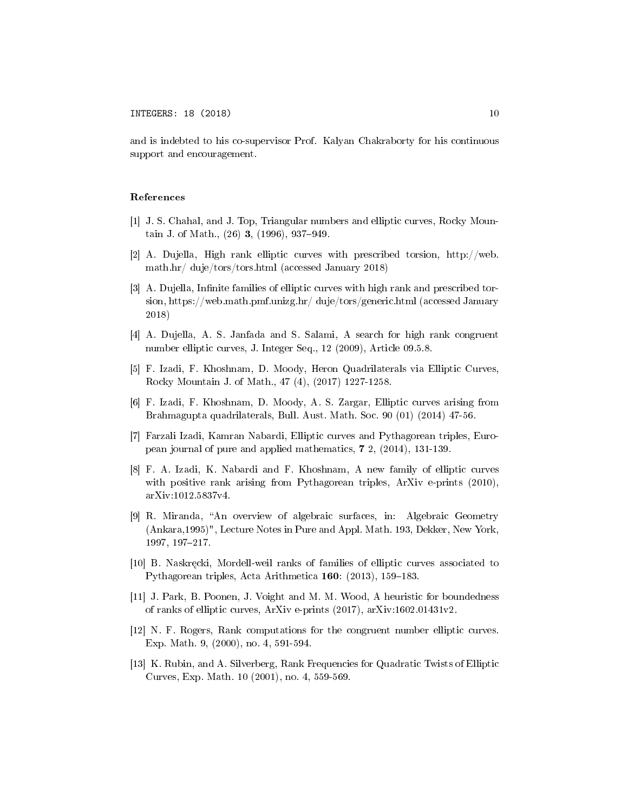and is indebted to his co-supervisor Prof. Kalyan Chakraborty for his continuous support and encouragement.

#### References

- [1] J. S. Chahal, and J. Top, Triangular numbers and elliptic curves, Rocky Mountain J. of Math.,  $(26)$  3,  $(1996)$ , 937-949.
- [2] A. Dujella, High rank elliptic curves with prescribed torsion, http://web. math.hr/ duje/tors/tors.html (accessed January 2018)
- [3] A. Dujella, Infinite families of elliptic curves with high rank and prescribed torsion, https://web.math.pmf.unizg.hr/ duje/tors/generic.html (accessed January 2018)
- [4] A. Dujella, A. S. Janfada and S. Salami, A search for high rank congruent number elliptic curves, J. Integer Seq., 12 (2009), Article 09.5.8.
- [5] F. Izadi, F. Khoshnam, D. Moody, Heron Quadrilaterals via Elliptic Curves, Rocky Mountain J. of Math., 47 (4), (2017) 1227-1258.
- [6] F. Izadi, F. Khoshnam, D. Moody, A. S. Zargar, Elliptic curves arising from Brahmagupta quadrilaterals, Bull. Aust. Math. Soc. 90 (01) (2014) 47-56.
- [7] Farzali Izadi, Kamran Nabardi, Elliptic curves and Pythagorean triples, European journal of pure and applied mathematics, 7 2, (2014), 131-139.
- [8] F. A. Izadi, K. Nabardi and F. Khoshnam, A new family of elliptic curves with positive rank arising from Pythagorean triples, ArXiv e-prints (2010), arXiv:1012.5837v4.
- [9] R. Miranda, An overview of algebraic surfaces, in: Algebraic Geometry (Ankara,1995)", Lecture Notes in Pure and Appl. Math. 193, Dekker, New York, 1997, 197-217.
- [10] B. Naskręcki, Mordell-weil ranks of families of elliptic curves associated to Pythagorean triples, Acta Arithmetica  $160: (2013), 159-183.$
- [11] J. Park, B. Poonen, J. Voight and M. M. Wood, A heuristic for boundedness of ranks of elliptic curves, ArXiv e-prints (2017), arXiv:1602.01431v2.
- [12] N. F. Rogers, Rank computations for the congruent number elliptic curves. Exp. Math. 9, (2000), no. 4, 591-594.
- [13] K. Rubin, and A. Silverberg, Rank Frequencies for Quadratic Twists of Elliptic Curves, Exp. Math. 10 (2001), no. 4, 559-569.